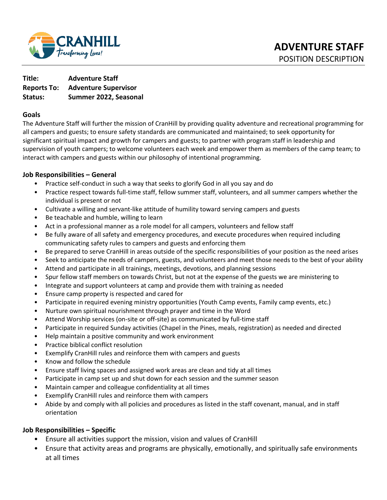

**Title: Adventure Staff Reports To: Adventure Supervisor Status: Summer 2022, Seasonal** 

### **Goals**

The Adventure Staff will further the mission of CranHill by providing quality adventure and recreational programming for all campers and guests; to ensure safety standards are communicated and maintained; to seek opportunity for significant spiritual impact and growth for campers and guests; to partner with program staff in leadership and supervision of youth campers; to welcome volunteers each week and empower them as members of the camp team; to interact with campers and guests within our philosophy of intentional programming.

### **Job Responsibilities – General**

- Practice self-conduct in such a way that seeks to glorify God in all you say and do
- Practice respect towards full-time staff, fellow summer staff, volunteers, and all summer campers whether the individual is present or not
- Cultivate a willing and servant-like attitude of humility toward serving campers and guests
- Be teachable and humble, willing to learn
- Act in a professional manner as a role model for all campers, volunteers and fellow staff
- Be fully aware of all safety and emergency procedures, and execute procedures when required including communicating safety rules to campers and guests and enforcing them
- Be prepared to serve CranHill in areas outside of the specific responsibilities of your position as the need arises
- Seek to anticipate the needs of campers, guests, and volunteers and meet those needs to the best of your ability
- Attend and participate in all trainings, meetings, devotions, and planning sessions
- Spur fellow staff members on towards Christ, but not at the expense of the guests we are ministering to
- Integrate and support volunteers at camp and provide them with training as needed
- Ensure camp property is respected and cared for
- Participate in required evening ministry opportunities (Youth Camp events, Family camp events, etc.)
- Nurture own spiritual nourishment through prayer and time in the Word
- Attend Worship services (on-site or off-site) as communicated by full-time staff
- Participate in required Sunday activities (Chapel in the Pines, meals, registration) as needed and directed
- Help maintain a positive community and work environment
- Practice biblical conflict resolution
- Exemplify CranHill rules and reinforce them with campers and guests
- Know and follow the schedule
- Ensure staff living spaces and assigned work areas are clean and tidy at all times
- Participate in camp set up and shut down for each session and the summer season
- Maintain camper and colleague confidentiality at all times
- Exemplify CranHill rules and reinforce them with campers
- Abide by and comply with all policies and procedures as listed in the staff covenant, manual, and in staff orientation

## **Job Responsibilities – Specific**

- Ensure all activities support the mission, vision and values of CranHill
- Ensure that activity areas and programs are physically, emotionally, and spiritually safe environments at all times